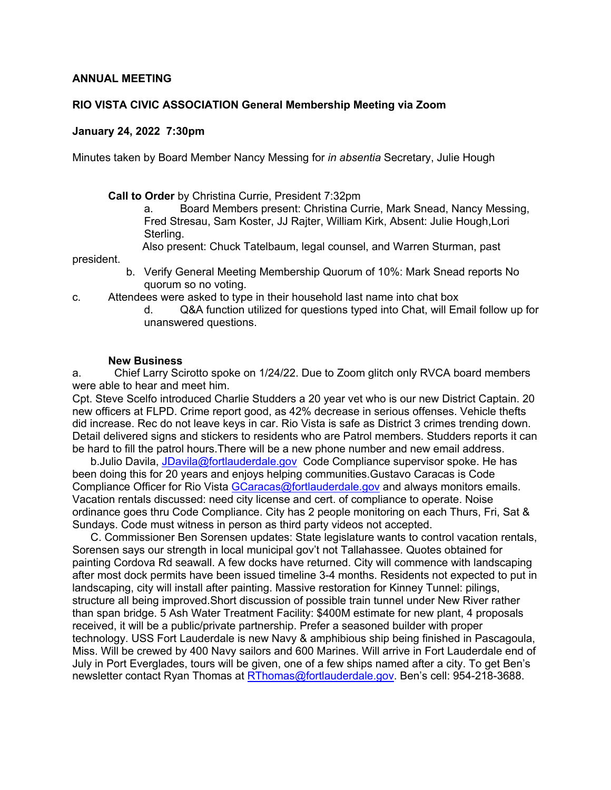#### **ANNUAL MEETING**

#### **RIO VISTA CIVIC ASSOCIATION General Membership Meeting via Zoom**

#### **January 24, 2022 7:30pm**

Minutes taken by Board Member Nancy Messing for *in absentia* Secretary, Julie Hough

**Call to Order** by Christina Currie, President 7:32pm

a. Board Members present: Christina Currie, Mark Snead, Nancy Messing, Fred Stresau, Sam Koster, JJ Rajter, William Kirk, Absent: Julie Hough,Lori Sterling.

Also present: Chuck Tatelbaum, legal counsel, and Warren Sturman, past

president.

- b. Verify General Meeting Membership Quorum of 10%: Mark Snead reports No quorum so no voting.
- c. Attendees were asked to type in their household last name into chat box
	- d. Q&A function utilized for questions typed into Chat, will Email follow up for unanswered questions.

#### **New Business**

a. Chief Larry Scirotto spoke on 1/24/22. Due to Zoom glitch only RVCA board members were able to hear and meet him.

Cpt. Steve Scelfo introduced Charlie Studders a 20 year vet who is our new District Captain. 20 new officers at FLPD. Crime report good, as 42% decrease in serious offenses. Vehicle thefts did increase. Rec do not leave keys in car. Rio Vista is safe as District 3 crimes trending down. Detail delivered signs and stickers to residents who are Patrol members. Studders reports it can be hard to fill the patrol hours.There will be a new phone number and new email address.

 b.Julio Davila, JDavila@fortlauderdale.gov Code Compliance supervisor spoke. He has been doing this for 20 years and enjoys helping communities.Gustavo Caracas is Code Compliance Officer for Rio Vista GCaracas@fortlauderdale.gov and always monitors emails. Vacation rentals discussed: need city license and cert. of compliance to operate. Noise ordinance goes thru Code Compliance. City has 2 people monitoring on each Thurs, Fri, Sat & Sundays. Code must witness in person as third party videos not accepted.

 C. Commissioner Ben Sorensen updates: State legislature wants to control vacation rentals, Sorensen says our strength in local municipal gov't not Tallahassee. Quotes obtained for painting Cordova Rd seawall. A few docks have returned. City will commence with landscaping after most dock permits have been issued timeline 3-4 months. Residents not expected to put in landscaping, city will install after painting. Massive restoration for Kinney Tunnel: pilings, structure all being improved.Short discussion of possible train tunnel under New River rather than span bridge. 5 Ash Water Treatment Facility: \$400M estimate for new plant, 4 proposals received, it will be a public/private partnership. Prefer a seasoned builder with proper technology. USS Fort Lauderdale is new Navy & amphibious ship being finished in Pascagoula, Miss. Will be crewed by 400 Navy sailors and 600 Marines. Will arrive in Fort Lauderdale end of July in Port Everglades, tours will be given, one of a few ships named after a city. To get Ben's newsletter contact Ryan Thomas at RThomas@fortlauderdale.gov. Ben's cell: 954-218-3688.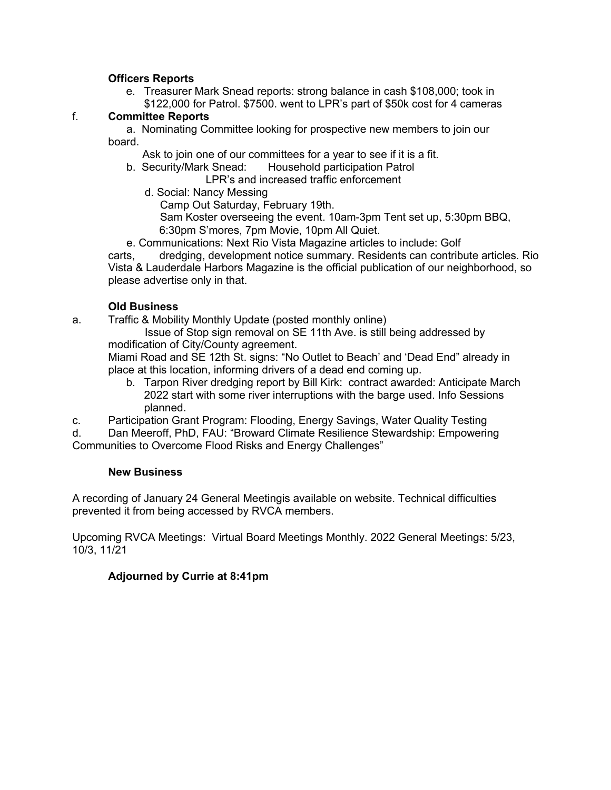#### **Officers Reports**

e. Treasurer Mark Snead reports: strong balance in cash \$108,000; took in \$122,000 for Patrol. \$7500. went to LPR's part of \$50k cost for 4 cameras

#### f. **Committee Reports**

a. Nominating Committee looking for prospective new members to join our board.

Ask to join one of our committees for a year to see if it is a fit.

b. Security/Mark Snead: Household participation Patrol

LPR's and increased traffic enforcement

- d. Social: Nancy Messing
	- Camp Out Saturday, February 19th.

 Sam Koster overseeing the event. 10am-3pm Tent set up, 5:30pm BBQ, 6:30pm S'mores, 7pm Movie, 10pm All Quiet.

e. Communications: Next Rio Vista Magazine articles to include: Golf

carts, dredging, development notice summary. Residents can contribute articles. Rio Vista & Lauderdale Harbors Magazine is the official publication of our neighborhood, so please advertise only in that.

### **Old Business**

a. Traffic & Mobility Monthly Update (posted monthly online)

Issue of Stop sign removal on SE 11th Ave. is still being addressed by modification of City/County agreement.

Miami Road and SE 12th St. signs: "No Outlet to Beach' and 'Dead End" already in place at this location, informing drivers of a dead end coming up.

b. Tarpon River dredging report by Bill Kirk: contract awarded: Anticipate March 2022 start with some river interruptions with the barge used. Info Sessions planned.

c. Participation Grant Program: Flooding, Energy Savings, Water Quality Testing

d. Dan Meeroff, PhD, FAU: "Broward Climate Resilience Stewardship: Empowering Communities to Overcome Flood Risks and Energy Challenges"

#### **New Business**

A recording of January 24 General Meetingis available on website. Technical difficulties prevented it from being accessed by RVCA members.

Upcoming RVCA Meetings: Virtual Board Meetings Monthly. 2022 General Meetings: 5/23, 10/3, 11/21

### **Adjourned by Currie at 8:41pm**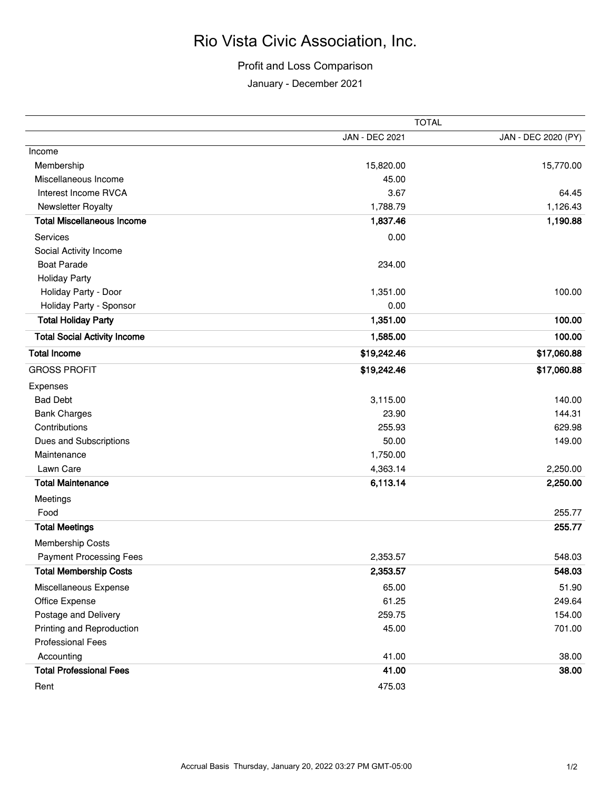## Rio Vista Civic Association, Inc.

## Profit and Loss Comparison

January - December 2021

|                                     | <b>TOTAL</b>          |                     |
|-------------------------------------|-----------------------|---------------------|
|                                     | <b>JAN - DEC 2021</b> | JAN - DEC 2020 (PY) |
| Income                              |                       |                     |
| Membership                          | 15,820.00             | 15,770.00           |
| Miscellaneous Income                | 45.00                 |                     |
| Interest Income RVCA                | 3.67                  | 64.45               |
| Newsletter Royalty                  | 1,788.79              | 1,126.43            |
| <b>Total Miscellaneous Income</b>   | 1,837.46              | 1,190.88            |
| Services                            | 0.00                  |                     |
| Social Activity Income              |                       |                     |
| <b>Boat Parade</b>                  | 234.00                |                     |
| <b>Holiday Party</b>                |                       |                     |
| Holiday Party - Door                | 1,351.00              | 100.00              |
| Holiday Party - Sponsor             | 0.00                  |                     |
| <b>Total Holiday Party</b>          | 1,351.00              | 100.00              |
| <b>Total Social Activity Income</b> | 1,585.00              | 100.00              |
| <b>Total Income</b>                 | \$19,242.46           | \$17,060.88         |
| <b>GROSS PROFIT</b>                 | \$19,242.46           | \$17,060.88         |
| Expenses                            |                       |                     |
| <b>Bad Debt</b>                     | 3,115.00              | 140.00              |
| <b>Bank Charges</b>                 | 23.90                 | 144.31              |
| Contributions                       | 255.93                | 629.98              |
| Dues and Subscriptions              | 50.00                 | 149.00              |
| Maintenance                         | 1,750.00              |                     |
| Lawn Care                           | 4,363.14              | 2,250.00            |
| <b>Total Maintenance</b>            | 6,113.14              | 2,250.00            |
| Meetings                            |                       |                     |
| Food                                |                       | 255.77              |
| <b>Total Meetings</b>               |                       | 255.77              |
| Membership Costs                    |                       |                     |
| <b>Payment Processing Fees</b>      | 2,353.57              | 548.03              |
| <b>Total Membership Costs</b>       | 2,353.57              | 548.03              |
| Miscellaneous Expense               | 65.00                 | 51.90               |
| Office Expense                      | 61.25                 | 249.64              |
| Postage and Delivery                | 259.75                | 154.00              |
| Printing and Reproduction           | 45.00                 | 701.00              |
| <b>Professional Fees</b>            |                       |                     |
| Accounting                          | 41.00                 | 38.00               |
| <b>Total Professional Fees</b>      | 41.00                 | 38.00               |
| Rent                                | 475.03                |                     |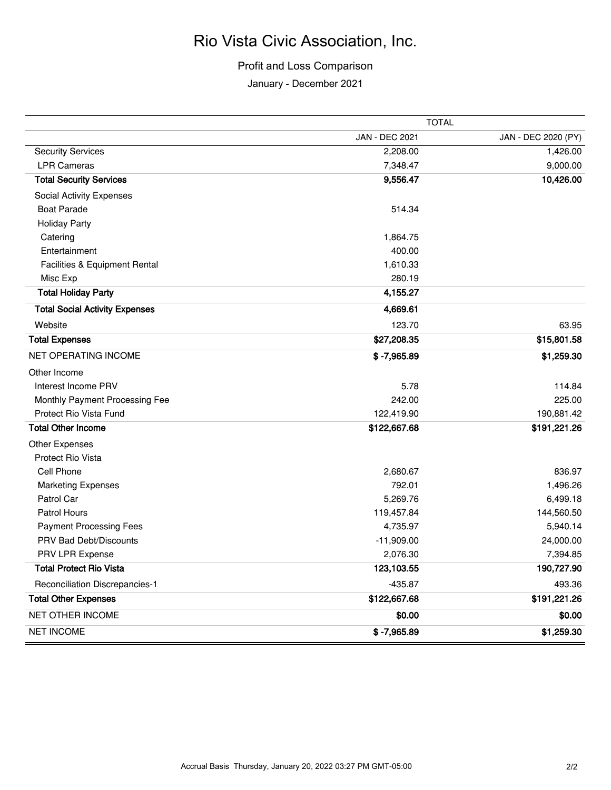# Rio Vista Civic Association, Inc.

## Profit and Loss Comparison

January - December 2021

|                                       | <b>TOTAL</b>   |                     |
|---------------------------------------|----------------|---------------------|
|                                       | JAN - DEC 2021 | JAN - DEC 2020 (PY) |
| <b>Security Services</b>              | 2,208.00       | 1,426.00            |
| <b>LPR Cameras</b>                    | 7,348.47       | 9,000.00            |
| <b>Total Security Services</b>        | 9,556.47       | 10,426.00           |
| Social Activity Expenses              |                |                     |
| <b>Boat Parade</b>                    | 514.34         |                     |
| <b>Holiday Party</b>                  |                |                     |
| Catering                              | 1,864.75       |                     |
| Entertainment                         | 400.00         |                     |
| Facilities & Equipment Rental         | 1,610.33       |                     |
| Misc Exp                              | 280.19         |                     |
| <b>Total Holiday Party</b>            | 4,155.27       |                     |
| <b>Total Social Activity Expenses</b> | 4,669.61       |                     |
| Website                               | 123.70         | 63.95               |
| <b>Total Expenses</b>                 | \$27,208.35    | \$15,801.58         |
| <b>NET OPERATING INCOME</b>           | $$ -7,965.89$  | \$1,259.30          |
| Other Income                          |                |                     |
| Interest Income PRV                   | 5.78           | 114.84              |
| Monthly Payment Processing Fee        | 242.00         | 225.00              |
| Protect Rio Vista Fund                | 122,419.90     | 190,881.42          |
| <b>Total Other Income</b>             | \$122,667.68   | \$191,221.26        |
| Other Expenses                        |                |                     |
| Protect Rio Vista                     |                |                     |
| Cell Phone                            | 2,680.67       | 836.97              |
| <b>Marketing Expenses</b>             | 792.01         | 1,496.26            |
| Patrol Car                            | 5,269.76       | 6,499.18            |
| Patrol Hours                          | 119,457.84     | 144,560.50          |
| <b>Payment Processing Fees</b>        | 4,735.97       | 5,940.14            |
| PRV Bad Debt/Discounts                | $-11,909.00$   | 24,000.00           |
| PRV LPR Expense                       | 2,076.30       | 7,394.85            |
| <b>Total Protect Rio Vista</b>        | 123,103.55     | 190,727.90          |
| Reconciliation Discrepancies-1        | $-435.87$      | 493.36              |
| <b>Total Other Expenses</b>           | \$122,667.68   | \$191,221.26        |
| NET OTHER INCOME                      | \$0.00         | \$0.00              |
| <b>NET INCOME</b>                     | $$ -7,965.89$  | \$1,259.30          |